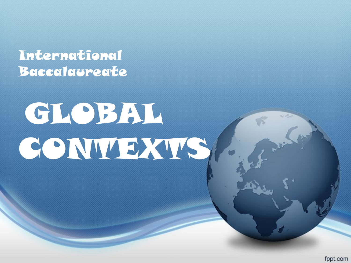#### International Baccalaureate

# GLOBAL **CONTEXTS**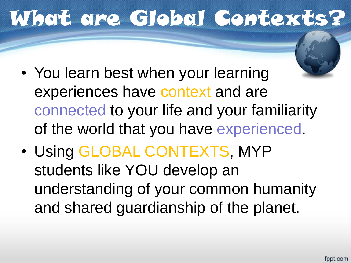## What are Global Contexts?

- You learn best when your learning experiences have context and are connected to your life and your familiarity of the world that you have experienced.
- Using GLOBAL CONTEXTS, MYP students like YOU develop an understanding of your common humanity and shared guardianship of the planet.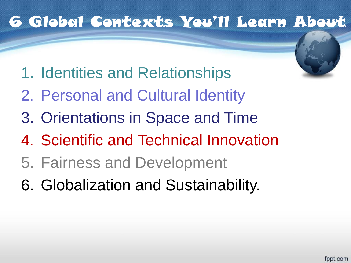#### 6 Global Contexts You'll Learn About

- 1. Identities and Relationships
- 2. Personal and Cultural Identity
- 3. Orientations in Space and Time
- 4. Scientific and Technical Innovation
- 5. Fairness and Development
- 6. Globalization and Sustainability.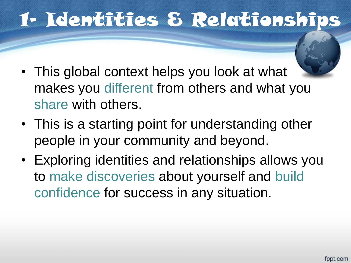## 1- Identities & Relationship

- This global context helps you look at what makes you different from others and what you share with others.
- This is a starting point for understanding other people in your community and beyond.
- Exploring identities and relationships allows you to make discoveries about yourself and build confidence for success in any situation.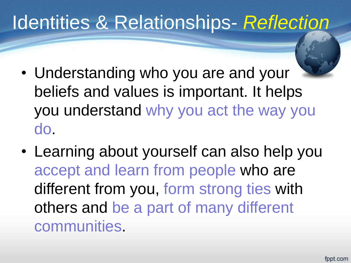## Identities & Relationships- *Reflection*

- Understanding who you are and your beliefs and values is important. It helps you understand why you act the way you do.
- Learning about yourself can also help you accept and learn from people who are different from you, form strong ties with others and be a part of many different communities.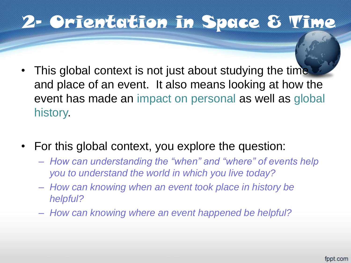#### 2- Orientation in Space & Time

- This global context is not just about studying the time and place of an event. It also means looking at how the event has made an impact on personal as well as global history.
- For this global context, you explore the question:
	- *How can understanding the "when" and "where" of events help you to understand the world in which you live today?*
	- *How can knowing when an event took place in history be helpful?*
	- *How can knowing where an event happened be helpful?*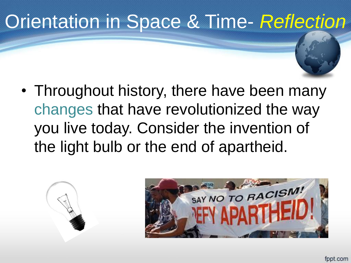## Orientation in Space & Time- *Reflection*

• Throughout history, there have been many changes that have revolutionized the way you live today. Consider the invention of the light bulb or the end of apartheid.

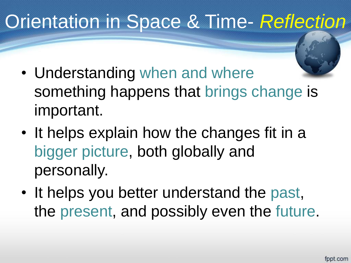## Orientation in Space & Time- *Reflection*

- Understanding when and where something happens that brings change is important.
- It helps explain how the changes fit in a bigger picture, both globally and personally.
- It helps you better understand the past, the present, and possibly even the future.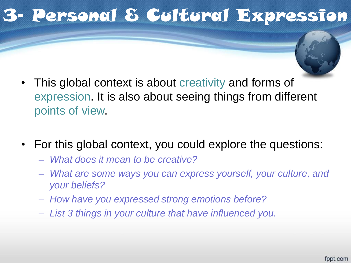## 3- Personal & Cultural Expression

- This global context is about creativity and forms of expression. It is also about seeing things from different points of view.
- For this global context, you could explore the questions:
	- *What does it mean to be creative?*
	- *What are some ways you can express yourself, your culture, and your beliefs?*
	- *How have you expressed strong emotions before?*
	- *List 3 things in your culture that have influenced you.*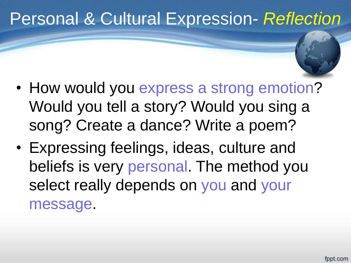#### Personal & Cultural Expression- *Reflection*

- How would you express a strong emotion? Would you tell a story? Would you sing a song? Create a dance? Write a poem?
- Expressing feelings, ideas, culture and beliefs is very personal. The method you select really depends on you and your message.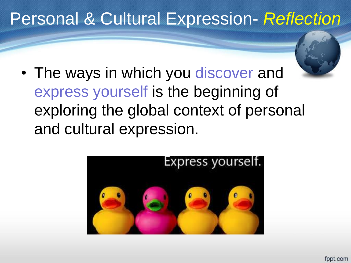#### Personal & Cultural Expression- *Reflection*

- 
- The ways in which you discover and express yourself is the beginning of exploring the global context of personal and cultural expression.

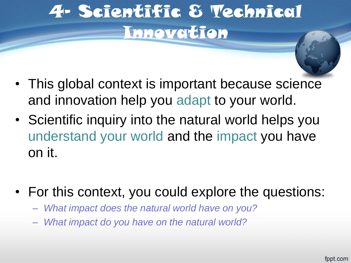## 4- Scientific & Technical Innovation

- This global context is important because science and innovation help you adapt to your world.
- Scientific inquiry into the natural world helps you understand your world and the impact you have on it.
- For this context, you could explore the questions:
	- *What impact does the natural world have on you?*
	- *What impact do you have on the natural world?*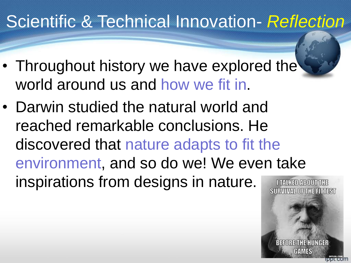### Scientific & Technical Innovation- *Reflection*

- Throughout history we have explored the world around us and how we fit in.
- Darwin studied the natural world and reached remarkable conclusions. He discovered that nature adapts to fit the environment, and so do we! We even take inspirations from designs in nature.

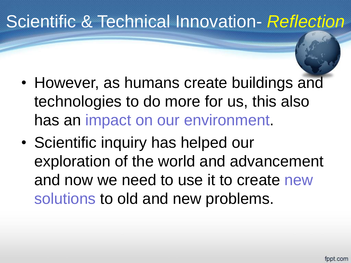### Scientific & Technical Innovation- *Reflection*

- However, as humans create buildings and technologies to do more for us, this also has an impact on our environment.
- Scientific inquiry has helped our exploration of the world and advancement and now we need to use it to create new solutions to old and new problems.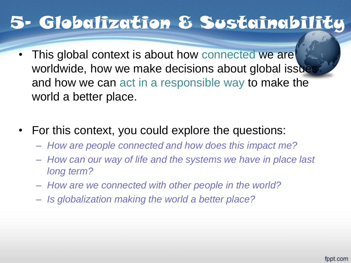#### 5- Globalization & Sustainability

- This global context is about how connected we are worldwide, how we make decisions about global issue and how we can act in a responsible way to make the world a better place.
- For this context, you could explore the questions:
	- *How are people connected and how does this impact me?*
	- *How can our way of life and the systems we have in place last long term?*
	- *How are we connected with other people in the world?*
	- *Is globalization making the world a better place?*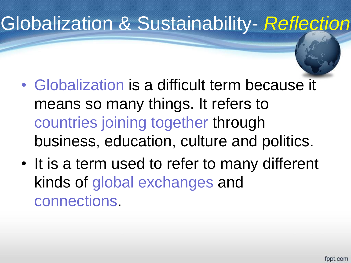## Globalization & Sustainability- *Reflection*

- Globalization is a difficult term because it means so many things. It refers to countries joining together through business, education, culture and politics.
- It is a term used to refer to many different kinds of global exchanges and connections.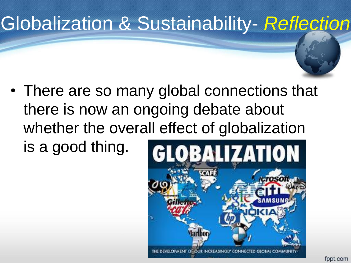## Globalization & Sustainability- *Reflection*

• There are so many global connections that there is now an ongoing debate about whether the overall effect of globalization is a good thing.

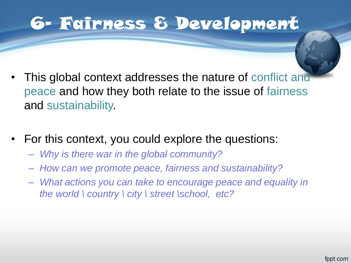#### 6- Fairness & Development

- This global context addresses the nature of conflict and peace and how they both relate to the issue of fairness and sustainability.
- For this context, you could explore the questions:
	- *Why is there war in the global community?*
	- *How can we promote peace, fairness and sustainability?*
	- *What actions you can take to encourage peace and equality in the world \ country \ city \ street \school, etc?*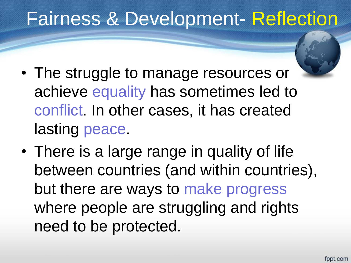## Fairness & Development- Reflection

- The struggle to manage resources or achieve equality has sometimes led to conflict. In other cases, it has created lasting peace.
- There is a large range in quality of life between countries (and within countries), but there are ways to make progress where people are struggling and rights need to be protected.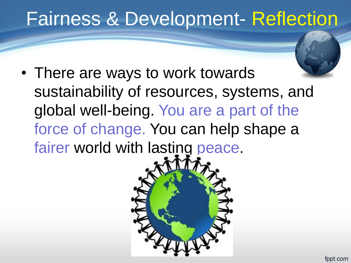## Fairness & Development- Reflection

• There are ways to work towards sustainability of resources, systems, and global well-being. You are a part of the force of change. You can help shape a fairer world with lasting peace.